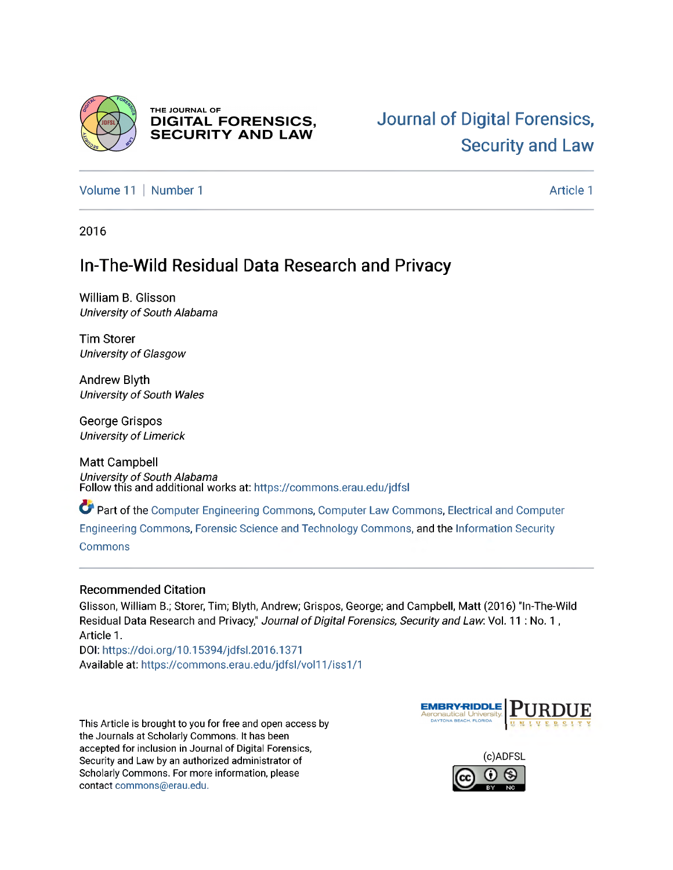

THE JOURNAL OF **DIGITAL FORENSICS, SECURITY AND LAW** 

[Volume](https://commons.erau.edu/jdfsl/vol11) 11 | [Number](https://commons.erau.edu/jdfsl/vol11/iss1) 1 [Article](https://commons.erau.edu/jdfsl/vol11/iss1/1) 1 Article 1 Article 1 Article 1 Article 1 Article 1 Article 1 Article 1

2016

## **In-The-Wild Residual Data Research and Privacy**

William B. Glisson *UniversityofSouth Alabama*

Tim Storer *UniversityofGlasgow*

Andrew Blyth *UniversityofSouth Wales*

George Grispos *Universityof Limerick*

Matt Campbell *UniversityofSouth Alabama* Follow this and additional works at: [https://commons.erau.edu/jdfsl](https://commons.erau.edu/jdfsl?utm_source=commons.erau.edu/jdfsl/vol11/iss1/1&utm_medium=PDF&utm_campaign=PDFCoverPages)

*Pa* Part of the Computer [Engineering](http://network.bepress.com/hgg/discipline/258?utm_source=commons.erau.edu/jdfsl/vol11/iss1/1&utm_medium=PDF&utm_campaign=PDFCoverPages) Commons, Computer Law [Commons](http://network.bepress.com/hgg/discipline/837?utm_source=commons.erau.edu/jdfsl/vol11/iss1/1&utm_medium=PDF&utm_campaign=PDFCoverPages), Electrical and [Computer](http://network.bepress.com/hgg/discipline/266?utm_source=commons.erau.edu/jdfsl/vol11/iss1/1&utm_medium=PDF&utm_campaign=PDFCoverPages)

[Engineering](http://network.bepress.com/hgg/discipline/266?utm_source=commons.erau.edu/jdfsl/vol11/iss1/1&utm_medium=PDF&utm_campaign=PDFCoverPages) Commons, Forensic Scienceand [Technology](http://network.bepress.com/hgg/discipline/1277?utm_source=commons.erau.edu/jdfsl/vol11/iss1/1&utm_medium=PDF&utm_campaign=PDFCoverPages) Commons, and the [Information](http://network.bepress.com/hgg/discipline/1247?utm_source=commons.erau.edu/jdfsl/vol11/iss1/1&utm_medium=PDF&utm_campaign=PDFCoverPages) Security

[Commons](http://network.bepress.com/hgg/discipline/1247?utm_source=commons.erau.edu/jdfsl/vol11/iss1/1&utm_medium=PDF&utm_campaign=PDFCoverPages)

#### **Recommended Citation**

Glisson, William B.; Storer, Tim; Blyth, Andrew; Grispos, George; and Campbell, Matt (2016) "In-The-Wild Residual Data Research and Privacy," *Journal ofDigital Forensics, Security and Law*: Vol. <sup>11</sup> : No. <sup>1</sup> , Article 1.

DOI: <https://doi.org/10.15394/jdfsl.2016.1371> Available at: [https://commons.erau.edu/jdfsl/vol11/iss1/1](https://commons.erau.edu/jdfsl/vol11/iss1/1?utm_source=commons.erau.edu/jdfsl/vol11/iss1/1&utm_medium=PDF&utm_campaign=PDFCoverPages)

This Article is brought to you for free and open access by the Journals at Scholarly Commons. It has been accepted for inclusion in Journal of Digital Forensics, Security and Law by an authorized administrator of Scholarly Commons. For more information, please contact [commons@erau.edu](mailto:commons@erau.edu).



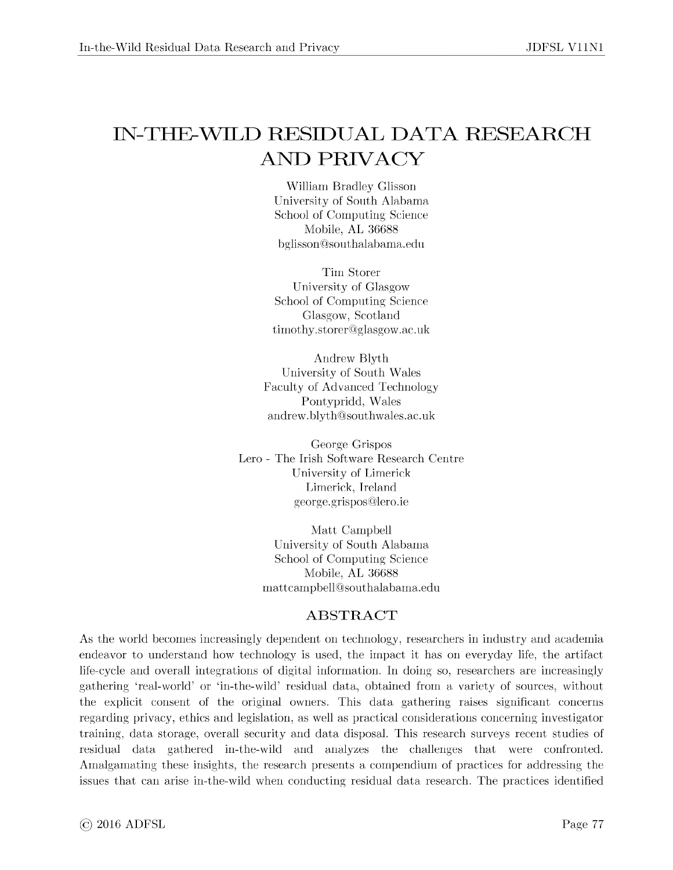# IN-THE-WILD RESIDUAL DATA RESEARCH AND PRIVACY

William Bradley Glisson University of South Alabama School of Computing Science Mobile, AL 36688 [bglisson@southalabama.edu](mailto:bglisson@southalabama.edu)

Tim Storer University of Glasgow School of Computing Science Glasgow, Scotland [timothy.storer@glasgow.ac.uk](mailto:timothy.storer@glasgow.ac.uk)

Andrew Blyth University of South Wales Faculty of Advanced Technology Pontypridd, Wales [andrew.blyth@southwales.ac.uk](mailto:andrew.blyth@southwales.ac.uk)

George Grispos Lero - The Irish Software Research Centre University of Limerick Limerick, Ireland [george.grispos@lero.ie](mailto:george.grispos@lero.ie)

> Matt Campbell University of South Alabama School of Computing Science Mobile, AL 36688 [mattcampbell@southalabama.edu](mailto:mattcampbell@southalabama.edu)

#### **ABSTRACT**

As the world becomes increasingly dependent on technology, researchers in industry and academia endeavor to understand how technology is used, the impact it has on everyday life, the artifact life-cycle and overall integrations of digital information. In doing so, researchers are increasingly gathering 'real-world' or 'in-the-wild' residual data, obtained from a variety of sources, without the explicit consent of the original owners. This data gathering raises significant concerns regarding privacy, ethics and legislation, as well as practical considerations concerning investigator training, data storage, overall security and data disposal. This research surveys recent studies of residual data gathered in-the-wild and analyzes the challenges that were confronted. Amalgamating these insights, the research presents a compendium of practices for addressing the issues that can arise in-the-wild when conducting residual data research. The practices identified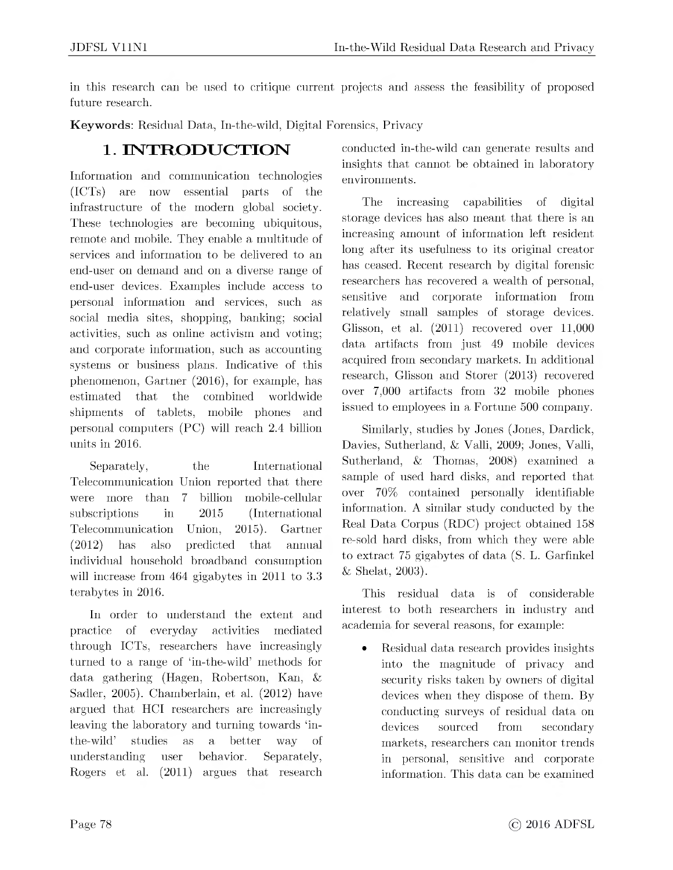in this research can be used to critique current projects and assess the feasibility of proposed future research.

**Keywords**: Residual Data, In-the-wild, Digital Forensics, Privacy

## **1. INTRODUCTION**

Information and communication technologies (ICTs) are now essential parts of the infrastructure of the modern global society. These technologies are becoming ubiquitous, remote and mobile. They enable a multitude of services and information to be delivered to an end-user on demand and on a diverse range of end-user devices. Examples include access to personal information and services, such as social media sites, shopping, banking; social activities, such as online activism and voting; and corporate information, such as accounting systems or business plans. Indicative of this phenomenon, Gartner (2016), for example, has estimated that the combined worldwide shipments of tablets, mobile phones and personal computers (PC) will reach 2.4 billion units in 2016.

Separately, the International Telecommunication Union reported that there were more than 7 billion mobile-cellular subscriptions in 2015 (International Telecommunication Union, 2015). Gartner (2012) has also predicted that annual individual household broadband consumption will increase from 464 gigabytes in 2011 to 3.3 terabytes in 2016.

In order to understand the extent and practice of everyday activities mediated through ICTs, researchers have increasingly turned to a range of 'in-the-wild' methods for data gathering (Hagen, Robertson, Kan, & Sadler, 2005). Chamberlain, et al. (2012) have argued that HCI researchers are increasingly leaving the laboratory and turning towards 'inthe-wild' studies as a better way of understanding user behavior. Separately, Rogers et al. (2011) argues that research

conducted in-the-wild can generate results and insights that cannot be obtained in laboratory environments.

The increasing capabilities of digital storage devices has also meant that there is an increasing amount of information left resident long after its usefulness to its original creator has ceased. Recent research by digital forensic researchers has recovered a wealth of personal, sensitive and corporate information from relatively small samples of storage devices. Glisson, et al. (2011) recovered over 11,000 data artifacts from just 49 mobile devices acquired from secondary markets. In additional research, Glisson and Storer (2013) recovered over 7,000 artifacts from 32 mobile phones issued to employees in a Fortune 500 company.

Similarly, studies by Jones (Jones, Dardick, Davies, Sutherland, & Valli, 2009; Jones, Valli, Sutherland, & Thomas, 2008) examined a sample of used hard disks, and reported that over 70% contained personally identifiable information. A similar study conducted by the Real Data Corpus (RDC) project obtained 158 re-sold hard disks, from which they were able to extract 75 gigabytes of data (S. L. Garfinkel & Shelat, 2003).

This residual data is of considerable interest to both researchers in industry and academia for several reasons, for example:

• Residual data research provides insights into the magnitude of privacy and security risks taken by owners of digital devices when they dispose of them. By conducting surveys of residual data on devices sourced from secondary markets, researchers can monitor trends in personal, sensitive and corporate information. This data can be examined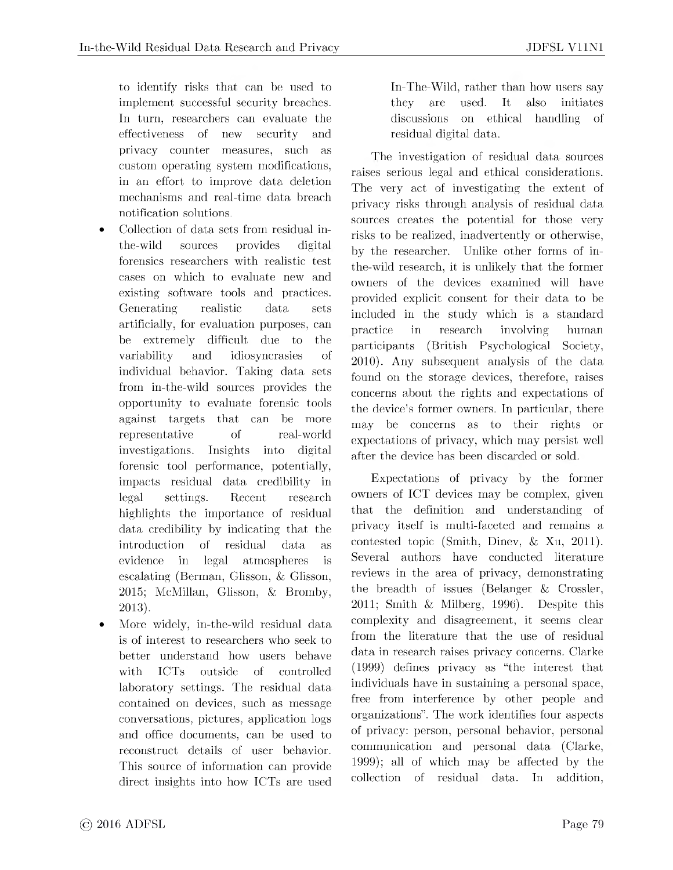to identify risks that can be used to implement successful security breaches. In turn, researchers can evaluate the effectiveness of new security and privacy counter measures, such as custom operating system modifications, in an effort to improve data deletion mechanisms and real-time data breach notification solutions.

- Collection of data sets from residual inthe-wild sources provides digital forensics researchers with realistic test cases on which to evaluate new and existing software tools and practices. Generating realistic data sets artificially, for evaluation purposes, can be extremely difficult due to the variability and idiosyncrasies of individual behavior. Taking data sets from in-the-wild sources provides the opportunity to evaluate forensic tools against targets that can be more representative of real-world investigations. Insights into digital forensic tool performance, potentially, impacts residual data credibility in legal settings. Recent research highlights the importance of residual data credibility by indicating that the introduction of residual data as evidence in legal atmospheres is escalating (Berman, Glisson, & Glisson, 2015; McMillan, Glisson, & Bromby, 2013).
- More widely, in-the-wild residual data is of interest to researchers who seek to better understand how users behave with ICTs outside of controlled laboratory settings. The residual data contained on devices, such as message conversations, pictures, application logs and office documents, can be used to reconstruct details of user behavior. This source of information can provide direct insights into how ICTs are used

In-The-Wild, rather than how users say they are used. It also initiates discussions on ethical handling of residual digital data.

The investigation of residual data sources raises serious legal and ethical considerations. The very act of investigating the extent of privacy risks through analysis of residual data sources creates the potential for those very risks to be realized, inadvertently or otherwise, by the researcher. Unlike other forms of inthe-wild research, it is unlikely that the former owners of the devices examined will have provided explicit consent for their data to be included in the study which is a standard practice in research involving human participants (British Psychological Society, 2010). Any subsequent analysis of the data found on the storage devices, therefore, raises concerns about the rights and expectations of the device's former owners. In particular, there may be concerns as to their rights or expectations of privacy, which may persist well after the device has been discarded or sold.

Expectations of privacy by the former owners of ICT devices may be complex, given that the definition and understanding of privacy itself is multi-faceted and remains a contested topic (Smith, Dinev, & Xu, 2011). Several authors have conducted literature reviews in the area of privacy, demonstrating the breadth of issues (Belanger & Crossler, 2011; Smith & Milberg, 1996). Despite this complexity and disagreement, it seems clear from the literature that the use of residual data in research raises privacy concerns. Clarke (1999) defines privacy as "the interest that individuals have in sustaining a personal space, free from interference by other people and organizations". The work identifies four aspects of privacy: person, personal behavior, personal communication and personal data (Clarke, 1999); all of which may be affected by the collection of residual data. In addition,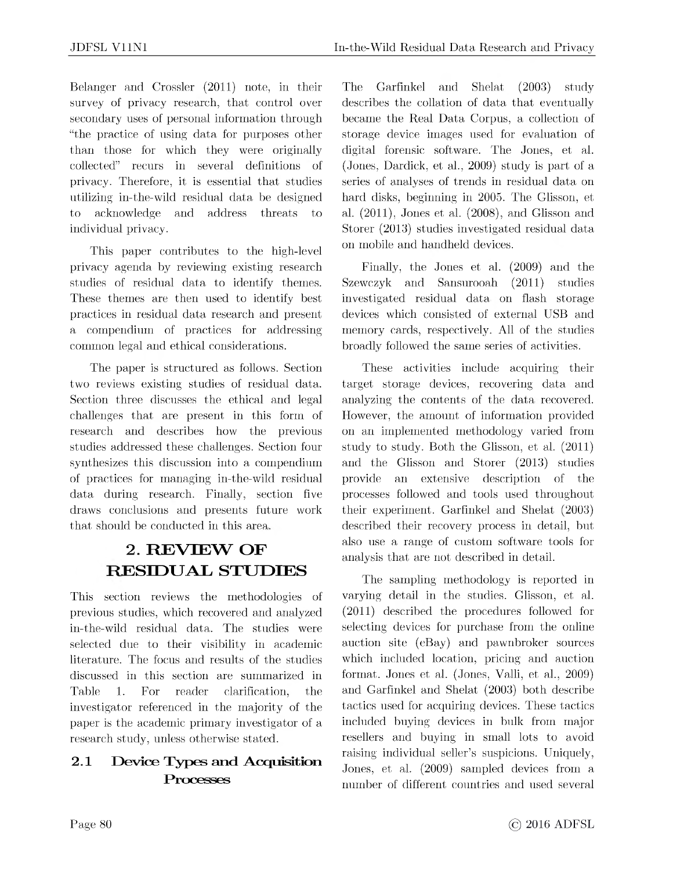Belanger and Crossler (2011) note, in their survey of privacy research, that control over secondary uses of personal information through "the practice of using data for purposes other than those for which they were originally collected" recurs in several definitions of privacy. Therefore, it is essential that studies utilizing in-the-wild residual data be designed to acknowledge and address threats to individual privacy.

This paper contributes to the high-level privacy agenda by reviewing existing research studies of residual data to identify themes. These themes are then used to identify best practices in residual data research and present a compendium of practices for addressing common legal and ethical considerations.

The paper is structured as follows. Section two reviews existing studies of residual data. Section three discusses the ethical and legal challenges that are present in this form of research and describes how the previous studies addressed these challenges. Section four synthesizes this discussion into a compendium of practices for managing in-the-wild residual data during research. Finally, section five draws conclusions and presents future work that should be conducted in this area.

## **2. REVIEW OF RESIDUAL STUDIES**

This section reviews the methodologies of previous studies, which recovered and analyzed in-the-wild residual data. The studies were selected due to their visibility in academic literature. The focus and results of the studies discussed in this section are summarized in Table 1. For reader clarification, the investigator referenced in the majority of the paper is the academic primary investigator of a research study, unless otherwise stated.

### **2.1 Device Types and Acquisition Processes**

The Garfinkel and Shelat (2003) study describes the collation of data that eventually became the Real Data Corpus, a collection of storage device images used for evaluation of digital forensic software. The Jones, et al. (Jones, Dardick, et al., 2009) study is part of a series of analyses of trends in residual data on hard disks, beginning in 2005. The Glisson, et al. (2011), Jones et al. (2008), and Glisson and Storer (2013) studies investigated residual data on mobile and handheld devices.

Finally, the Jones et al. (2009) and the Szewczyk and Sansurooah (2011) studies investigated residual data on flash storage devices which consisted of external USB and memory cards, respectively. All of the studies broadly followed the same series of activities.

These activities include acquiring their target storage devices, recovering data and analyzing the contents of the data recovered. However, the amount of information provided on an implemented methodology varied from study to study. Both the Glisson, et al. (2011) and the Glisson and Storer (2013) studies provide an extensive description of the processes followed and tools used throughout their experiment. Garfinkel and Shelat (2003) described their recovery process in detail, but also use a range of custom software tools for analysis that are not described in detail.

The sampling methodology is reported in varying detail in the studies. Glisson, et al. (2011) described the procedures followed for selecting devices for purchase from the online auction site (eBay) and pawnbroker sources which included location, pricing and auction format. Jones et al. (Jones, Valli, et al., 2009) and Garfinkel and Shelat (2003) both describe tactics used for acquiring devices. These tactics included buying devices in bulk from major resellers and buying in small lots to avoid raising individual seller's suspicions. Uniquely, Jones, et al. (2009) sampled devices from a number of different countries and used several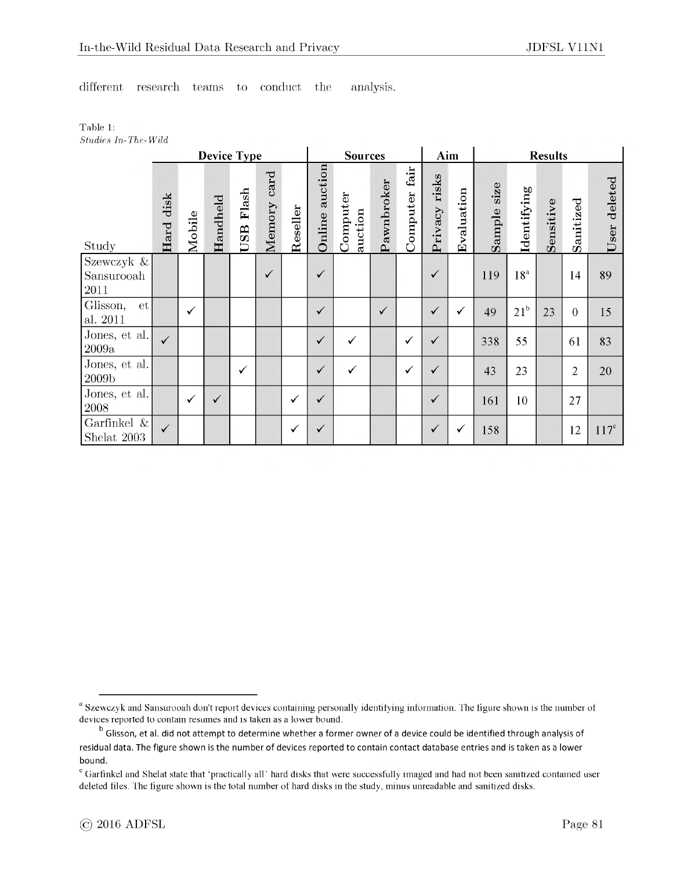different research teams to conduct the analysis.

Table 1: *Studies In-The-Wild*

|                                  | <b>Device Type</b> |        |              |              |                |          |                   | <b>Sources</b>      |              |                  |                  | Aim        |                | <b>Results</b>  |           |                  |                 |  |
|----------------------------------|--------------------|--------|--------------|--------------|----------------|----------|-------------------|---------------------|--------------|------------------|------------------|------------|----------------|-----------------|-----------|------------------|-----------------|--|
| Study                            | disk<br>Hard       | Mobile | Handheld     | Flash<br>USB | card<br>Memory | Reseller | auction<br>Online | Computer<br>auction | Pawnbroker   | fair<br>Computer | risks<br>Privacy | Evaluation | size<br>Sample | Identifying     | Sensitive | Sanitized        | deleted<br>User |  |
| Szewczyk &<br>Sansurooah<br>2011 |                    |        |              |              | $\checkmark$   |          | $\checkmark$      |                     |              |                  | ✓                |            | 119            | 18 <sup>a</sup> |           | 14               | 89              |  |
| Glisson,<br>et<br>al. $2011$     |                    | ✓      |              |              |                |          | $\checkmark$      |                     | $\checkmark$ |                  | $\checkmark$     | ✓          | 49             | $21^{\rm b}$    | 23        | $\boldsymbol{0}$ | 15              |  |
| Jones, et al.<br>2009a           | $\checkmark$       |        |              |              |                |          | $\checkmark$      | ✓                   |              | $\checkmark$     | $\checkmark$     |            | 338            | 55              |           | 61               | 83              |  |
| Jones, et al.<br>2009b           |                    |        |              | ✓            |                |          | $\checkmark$      |                     |              | ✓                | $\checkmark$     |            | 43             | 23              |           | $\overline{2}$   | 20              |  |
| Jones, et al.<br>$\,2008\,$      |                    | ✓      | $\checkmark$ |              |                | ✓        | $\checkmark$      |                     |              |                  | $\checkmark$     |            | 161            | 10              |           | 27               |                 |  |
| Garfinkel $\&$<br>Shelat 2003    | $\checkmark$       |        |              |              |                | ✓        | ✓                 |                     |              |                  | $\checkmark$     | ✓          | 158            |                 |           | 12               | $117^c$         |  |

<sup>&</sup>lt;sup>a</sup> Szewczyk and Sansurooah don't report devices containing personally identifying information. The figure shown is the number of devices reported to contain resumes and is taken as a lower bound.

b Glisson, et al. did not attempt to determine whether a former owner of a device could be identified through analysis of residual data. The figure shown is the number of devices reported to contain contact database entries and is taken as a lower bound.

<sup>&</sup>lt;sup>c</sup> Garfinkel and Shelat state that 'practically all' hard disks that were successfully imaged and had not been sanitized contained user deleted files. The figure shown is the total number of hard disks in the study, minus unreadable and sanitized disks.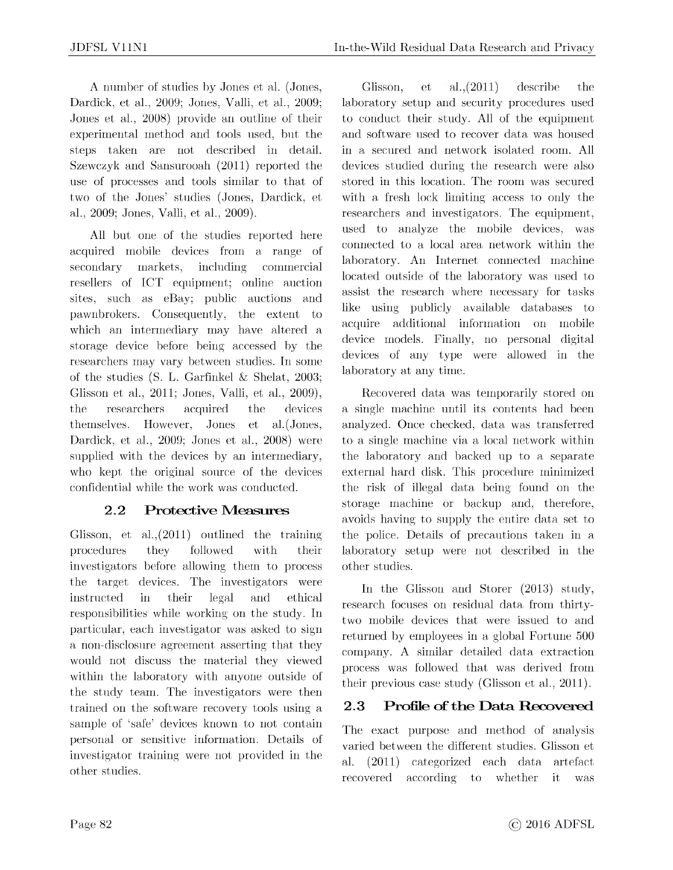A number of studies by Jones et al. (Jones, Dardick, et al., 2009; Jones, Valli, et al., 2009; Jones et al., 2008) provide an outline of their experimental method and tools used, but the steps taken are not described in detail. Szewczyk and Sansurooah (2011) reported the use of processes and tools similar to that of two of the Jones' studies (Jones, Dardick, et al., 2009; Jones, Valli, et al., 2009).

All but one of the studies reported here acquired mobile devices from a range of secondary markets, including commercial resellers of ICT equipment; online auction sites, such as eBay; public auctions and pawnbrokers. Consequently, the extent to which an intermediary may have altered a storage device before being accessed by the researchers may vary between studies. In some of the studies (S. L. Garfinkel & Shelat, 2003; Glisson et al., 2011; Jones, Valli, et al., 2009), the researchers acquired the devices themselves. However, Jones et al.(Jones, Dardick, et al., 2009; Jones et al., 2008) were supplied with the devices by an intermediary, who kept the original source of the devices confidential while the work was conducted.

### **2.2 Protective Measures**

Glisson, et al.,(2011) outlined the training procedures they followed with their investigators before allowing them to process the target devices. The investigators were instructed in their legal and ethical responsibilities while working on the study. In particular, each investigator was asked to sign a non-disclosure agreement asserting that they would not discuss the material they viewed within the laboratory with anyone outside of the study team. The investigators were then trained on the software recovery tools using a sample of 'safe' devices known to not contain personal or sensitive information. Details of investigator training were not provided in the other studies.

Glisson, et al.,(2011) describe the laboratory setup and security procedures used to conduct their study. All of the equipment and software used to recover data was housed in a secured and network isolated room. All devices studied during the research were also stored in this location. The room was secured with a fresh lock limiting access to only the researchers and investigators. The equipment, used to analyze the mobile devices, was connected to a local area network within the laboratory. An Internet connected machine located outside of the laboratory was used to assist the research where necessary for tasks like using publicly available databases to acquire additional information on mobile device models. Finally, no personal digital devices of any type were allowed in the laboratory at any time.

Recovered data was temporarily stored on a single machine until its contents had been analyzed. Once checked, data was transferred to a single machine via a local network within the laboratory and backed up to a separate external hard disk. This procedure minimized the risk of illegal data being found on the storage machine or backup and, therefore, avoids having to supply the entire data set to the police. Details of precautions taken in a laboratory setup were not described in the other studies.

In the Glisson and Storer (2013) study, research focuses on residual data from thirtytwo mobile devices that were issued to and returned by employees in a global Fortune 500 company. A similar detailed data extraction process was followed that was derived from their previous case study (Glisson et al., 2011).

### **2.3 Profile of the Data Recovered**

The exact purpose and method of analysis varied between the different studies. Glisson et al. (2011) categorized each data artefact recovered according to whether it was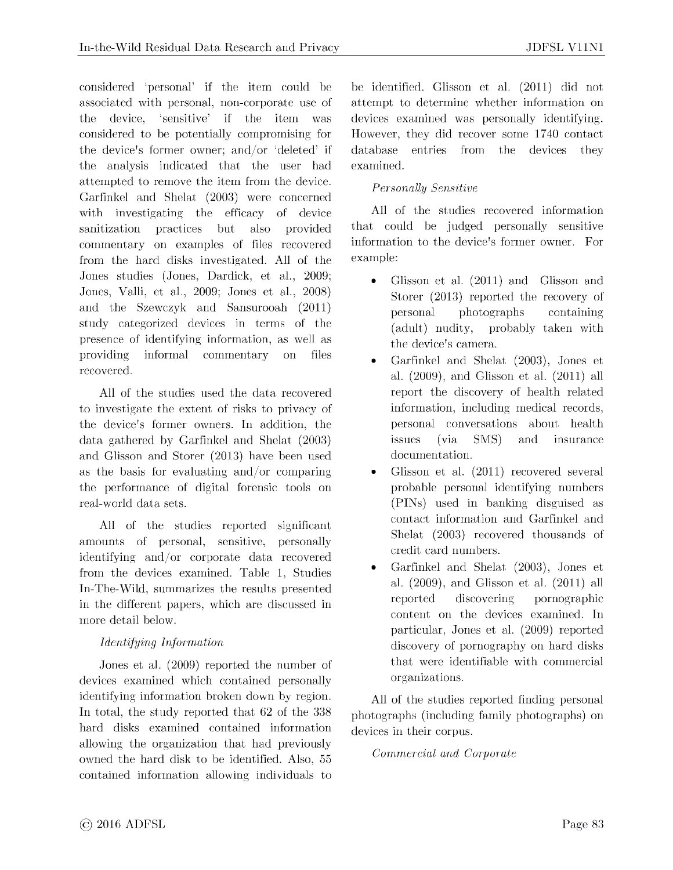considered 'personal' if the item could be associated with personal, non-corporate use of the device, 'sensitive' if the item was considered to be potentially compromising for the device's former owner; and/or 'deleted' if the analysis indicated that the user had attempted to remove the item from the device. Garfinkel and Shelat (2003) were concerned with investigating the efficacy of device sanitization practices but also provided commentary on examples of files recovered from the hard disks investigated. All of the Jones studies (Jones, Dardick, et al., 2009; Jones, Valli, et al., 2009; Jones et al., 2008) and the Szewczyk and Sansurooah (2011) study categorized devices in terms of the presence of identifying information, as well as providing informal commentary on files recovered.

All of the studies used the data recovered to investigate the extent of risks to privacy of the device's former owners. In addition, the data gathered by Garfinkel and Shelat (2003) and Glisson and Storer (2013) have been used as the basis for evaluating and/or comparing the performance of digital forensic tools on real-world data sets.

All of the studies reported significant amounts of personal, sensitive, personally identifying and/or corporate data recovered from the devices examined. Table 1, Studies In-The-Wild, summarizes the results presented in the different papers, which are discussed in more detail below.

#### *Identifying Information*

Jones et al. (2009) reported the number of devices examined which contained personally identifying information broken down by region. In total, the study reported that 62 of the 338 hard disks examined contained information allowing the organization that had previously owned the hard disk to be identified. Also, 55 contained information allowing individuals to be identified. Glisson et al. (2011) did not attempt to determine whether information on devices examined was personally identifying. However, they did recover some 1740 contact database entries from the devices they examined.

#### *Personally Sensitive*

All of the studies recovered information that could be judged personally sensitive information to the device's former owner. For example:

- Glisson et al. (2011) and Glisson and Storer (2013) reported the recovery of personal photographs containing (adult) nudity, probably taken with the device's camera.
- Garfinkel and Shelat (2003), Jones et al. (2009), and Glisson et al. (2011) all report the discovery of health related information, including medical records, personal conversations about health issues (via SMS) and insurance documentation.
- Glisson et al. (2011) recovered several probable personal identifying numbers (PINs) used in banking disguised as contact information and Garfinkel and Shelat (2003) recovered thousands of credit card numbers.
- Garfinkel and Shelat (2003), Jones et al. (2009), and Glisson et al. (2011) all reported discovering pornographic content on the devices examined. In particular, Jones et al. (2009) reported discovery of pornography on hard disks that were identifiable with commercial organizations.

All of the studies reported finding personal photographs (including family photographs) on devices in their corpus.

*Commercial and Corporate*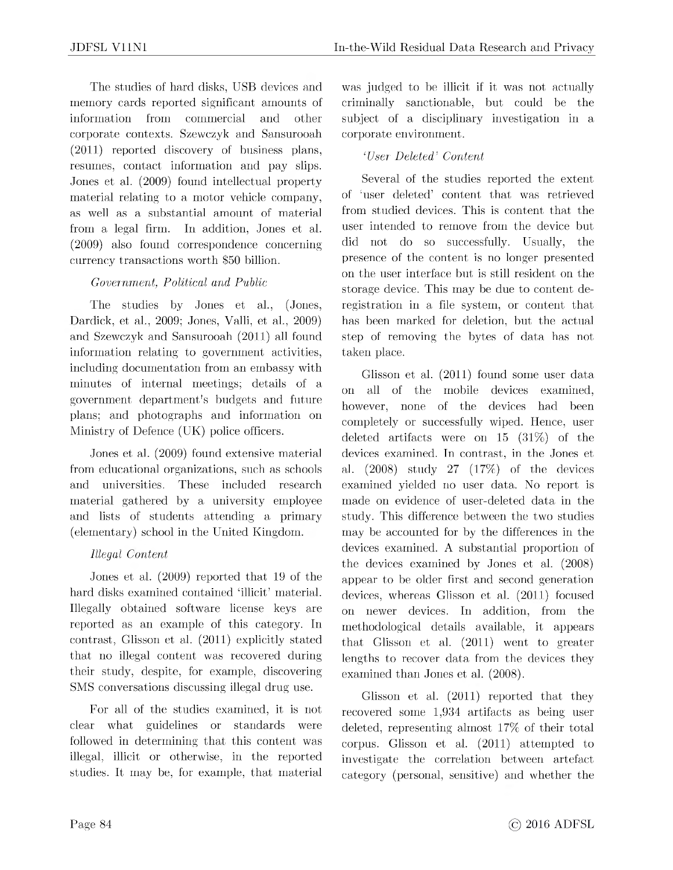The studies of hard disks, USB devices and memory cards reported significant amounts of information from commercial and other corporate contexts. Szewczyk and Sansurooah (2011) reported discovery of business plans, resumes, contact information and pay slips. Jones et al. (2009) found intellectual property material relating to a motor vehicle company, as well as a substantial amount of material from a legal firm. In addition, Jones et al. (2009) also found correspondence concerning currency transactions worth \$50 billion.

#### *Government, Political and Public*

The studies by Jones et al., (Jones, Dardick, et al., 2009; Jones, Valli, et al., 2009) and Szewczyk and Sansurooah (2011) all found information relating to government activities, including documentation from an embassy with minutes of internal meetings; details of a government department's budgets and future plans; and photographs and information on Ministry of Defence (UK) police officers.

Jones et al. (2009) found extensive material from educational organizations, such as schools and universities. These included research material gathered by a university employee and lists of students attending a primary (elementary) school in the United Kingdom.

#### *Illegal Content*

Jones et al. (2009) reported that 19 of the hard disks examined contained 'illicit' material. Illegally obtained software license keys are reported as an example of this category. In contrast, Glisson et al. (2011) explicitly stated that no illegal content was recovered during their study, despite, for example, discovering SMS conversations discussing illegal drug use.

For all of the studies examined, it is not clear what guidelines or standards were followed in determining that this content was illegal, illicit or otherwise, in the reported studies. It may be, for example, that material

was judged to be illicit if it was not actually criminally sanctionable, but could be the subject of a disciplinary investigation in a corporate environment.

#### *'User Deleted' Content*

Several of the studies reported the extent of 'user deleted' content that was retrieved from studied devices. This is content that the user intended to remove from the device but did not do so successfully. Usually, the presence of the content is no longer presented on the user interface but is still resident on the storage device. This may be due to content deregistration in a file system, or content that has been marked for deletion, but the actual step of removing the bytes of data has not taken place.

Glisson et al. (2011) found some user data on all of the mobile devices examined, however, none of the devices had been completely or successfully wiped. Hence, user deleted artifacts were on 15 (31%) of the devices examined. In contrast, in the Jones et al. (2008) study 27 (17%) of the devices examined yielded no user data. No report is made on evidence of user-deleted data in the study. This difference between the two studies may be accounted for by the differences in the devices examined. A substantial proportion of the devices examined by Jones et al. (2008) appear to be older first and second generation devices, whereas Glisson et al. (2011) focused on newer devices. In addition, from the methodological details available, it appears that Glisson et al. (2011) went to greater lengths to recover data from the devices they examined than Jones et al. (2008).

Glisson et al. (2011) reported that they recovered some 1,934 artifacts as being user deleted, representing almost 17% of their total corpus. Glisson et al. (2011) attempted to investigate the correlation between artefact category (personal, sensitive) and whether the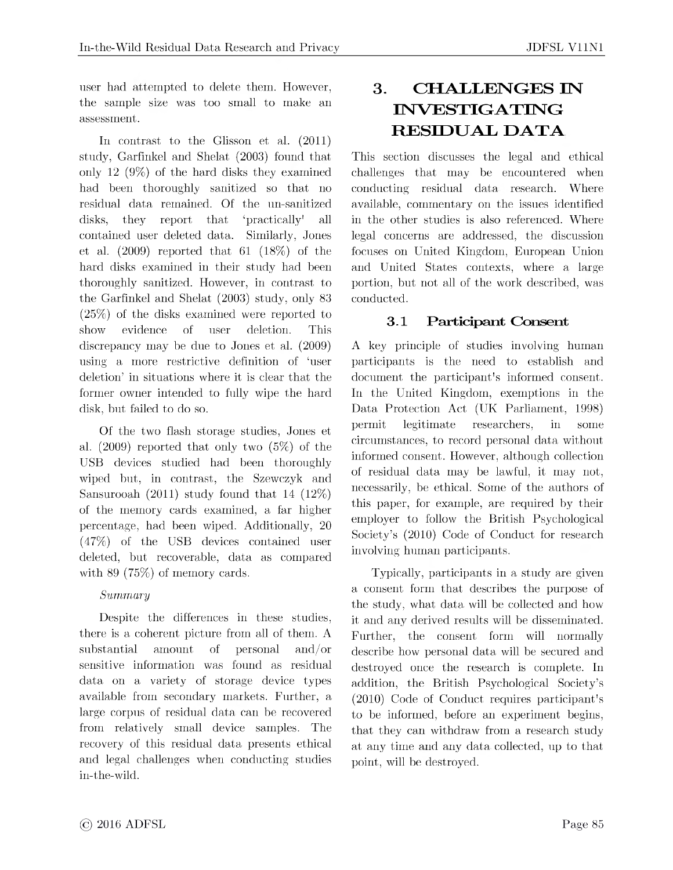user had attempted to delete them. However, the sample size was too small to make an assessment.

In contrast to the Glisson et al. (2011) study, Garfinkel and Shelat (2003) found that only 12 (9%) of the hard disks they examined had been thoroughly sanitized so that no residual data remained. Of the un-sanitized disks, they report that 'practically' all contained user deleted data. Similarly, Jones et al. (2009) reported that 61 (18%) of the hard disks examined in their study had been thoroughly sanitized. However, in contrast to the Garfinkel and Shelat (2003) study, only 83 (25%) of the disks examined were reported to show evidence of user deletion. This discrepancy may be due to Jones et al. (2009) using a more restrictive definition of 'user deletion' in situations where it is clear that the former owner intended to fully wipe the hard disk, but failed to do so.

Of the two flash storage studies, Jones et al. (2009) reported that only two (5%) of the USB devices studied had been thoroughly wiped but, in contrast, the Szewczyk and Sansurooah (2011) study found that 14 (12%) of the memory cards examined, a far higher percentage, had been wiped. Additionally, 20 (47%) of the USB devices contained user deleted, but recoverable, data as compared with 89 (75%) of memory cards.

#### *Summary*

Despite the differences in these studies, there is a coherent picture from all of them. A substantial amount of personal and/or sensitive information was found as residual data on a variety of storage device types available from secondary markets. Further, a large corpus of residual data can be recovered from relatively small device samples. The recovery of this residual data presents ethical and legal challenges when conducting studies in-the-wild.

## **3. CHALLENGES IN INVESTIGATING RESIDUAL DATA**

This section discusses the legal and ethical challenges that may be encountered when conducting residual data research. Where available, commentary on the issues identified in the other studies is also referenced. Where legal concerns are addressed, the discussion focuses on United Kingdom, European Union and United States contexts, where a large portion, but not all of the work described, was conducted.

### **3.1 Participant Consent**

A key principle of studies involving human participants is the need to establish and document the participant's informed consent. In the United Kingdom, exemptions in the Data Protection Act (UK Parliament, 1998) permit legitimate researchers, in some circumstances, to record personal data without informed consent. However, although collection of residual data may be lawful, it may not, necessarily, be ethical. Some of the authors of this paper, for example, are required by their employer to follow the British Psychological Society's (2010) Code of Conduct for research involving human participants.

Typically, participants in a study are given a consent form that describes the purpose of the study, what data will be collected and how it and any derived results will be disseminated. Further, the consent form will normally describe how personal data will be secured and destroyed once the research is complete. In addition, the British Psychological Society's (2010) Code of Conduct requires participant's to be informed, before an experiment begins, that they can withdraw from a research study at any time and any data collected, up to that point, will be destroyed.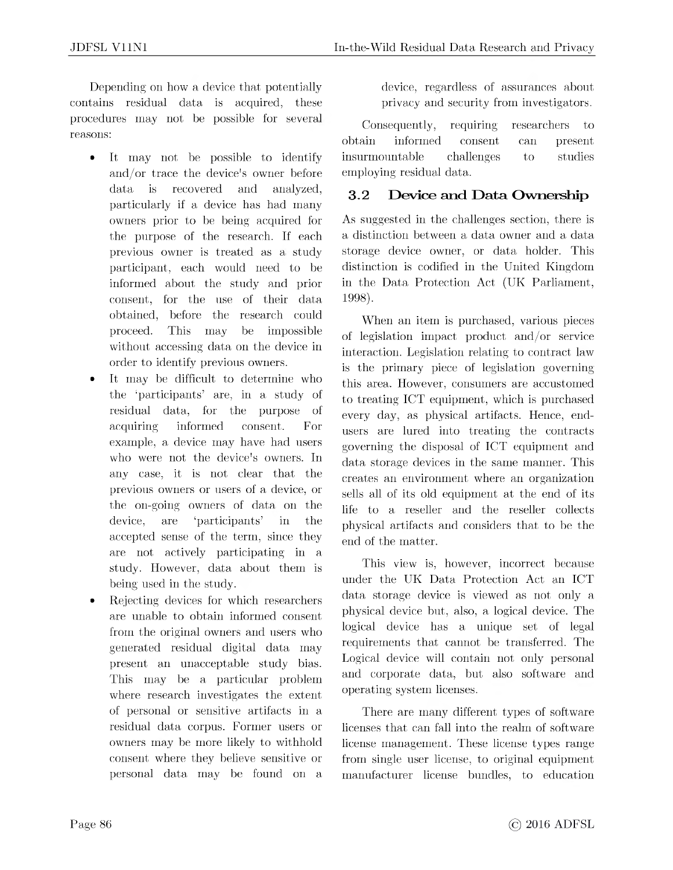Depending on how a device that potentially contains residual data is acquired, these procedures may not be possible for several reasons:

- It may not be possible to identify and/or trace the device's owner before data is recovered and analyzed, particularly if a device has had many owners prior to be being acquired for the purpose of the research. If each previous owner is treated as a study participant, each would need to be informed about the study and prior consent, for the use of their data obtained, before the research could proceed. This may be impossible without accessing data on the device in order to identify previous owners.
- It may be difficult to determine who the 'participants' are, in a study of residual data, for the purpose of acquiring informed consent. For example, a device may have had users who were not the device's owners. In any case, it is not clear that the previous owners or users of a device, or the on-going owners of data on the device, are 'participants' in the accepted sense of the term, since they are not actively participating in a study. However, data about them is being used in the study.
- Rejecting devices for which researchers are unable to obtain informed consent from the original owners and users who generated residual digital data may present an unacceptable study bias. This may be a particular problem where research investigates the extent of personal or sensitive artifacts in a residual data corpus. Former users or owners may be more likely to withhold consent where they believe sensitive or personal data may be found on a

device, regardless of assurances about privacy and security from investigators.

Consequently, requiring researchers to obtain informed consent can present insurmountable challenges to studies employing residual data.

### **3.2 Device and Data Ownership**

As suggested in the challenges section, there is a distinction between a data owner and a data storage device owner, or data holder. This distinction is codified in the United Kingdom in the Data Protection Act (UK Parliament, 1998).

When an item is purchased, various pieces of legislation impact product and/or service interaction. Legislation relating to contract law is the primary piece of legislation governing this area. However, consumers are accustomed to treating ICT equipment, which is purchased every day, as physical artifacts. Hence, endusers are lured into treating the contracts governing the disposal of ICT equipment and data storage devices in the same manner. This creates an environment where an organization sells all of its old equipment at the end of its life to a reseller and the reseller collects physical artifacts and considers that to be the end of the matter.

This view is, however, incorrect because under the UK Data Protection Act an ICT data storage device is viewed as not only a physical device but, also, a logical device. The logical device has a unique set of legal requirements that cannot be transferred. The Logical device will contain not only personal and corporate data, but also software and operating system licenses.

There are many different types of software licenses that can fall into the realm of software license management. These license types range from single user license, to original equipment manufacturer license bundles, to education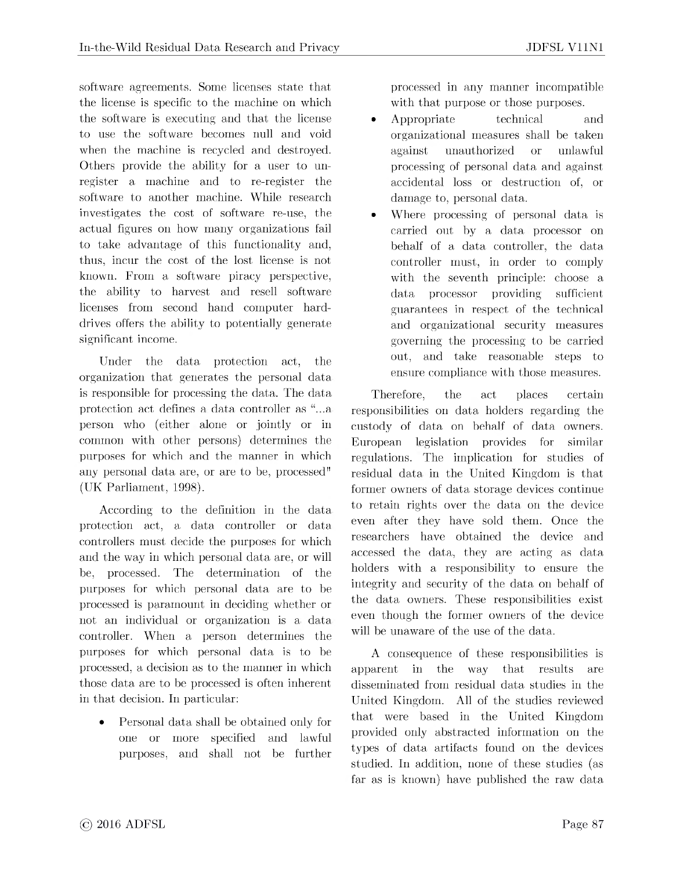software agreements. Some licenses state that the license is specific to the machine on which the software is executing and that the license to use the software becomes null and void when the machine is recycled and destroyed. Others provide the ability for a user to unregister a machine and to re-register the software to another machine. While research investigates the cost of software re-use, the actual figures on how many organizations fail to take advantage of this functionality and, thus, incur the cost of the lost license is not known. From a software piracy perspective, the ability to harvest and resell software licenses from second hand computer harddrives offers the ability to potentially generate significant income.

Under the data protection act, the organization that generates the personal data is responsible for processing the data. The data protection act defines a data controller as "...a person who (either alone or jointly or in common with other persons) determines the purposes for which and the manner in which any personal data are, or are to be, processed" (UK Parliament, 1998).

According to the definition in the data protection act, a data controller or data controllers must decide the purposes for which and the way in which personal data are, or will be, processed. The determination of the purposes for which personal data are to be processed is paramount in deciding whether or not an individual or organization is a data controller. When a person determines the purposes for which personal data is to be processed, a decision as to the manner in which those data are to be processed is often inherent in that decision. In particular:

• Personal data shall be obtained only for one or more specified and lawful purposes, and shall not be further processed in any manner incompatible with that purpose or those purposes.

- Appropriate technical and organizational measures shall be taken against unauthorized or unlawful processing of personal data and against accidental loss or destruction of, or damage to, personal data.
- Where processing of personal data is carried out by a data processor on behalf of a data controller, the data controller must, in order to comply with the seventh principle: choose a data processor providing sufficient guarantees in respect of the technical and organizational security measures governing the processing to be carried out, and take reasonable steps to ensure compliance with those measures.

Therefore, the act places certain responsibilities on data holders regarding the custody of data on behalf of data owners. European legislation provides for similar regulations. The implication for studies of residual data in the United Kingdom is that former owners of data storage devices continue to retain rights over the data on the device even after they have sold them. Once the researchers have obtained the device and accessed the data, they are acting as data holders with a responsibility to ensure the integrity and security of the data on behalf of the data owners. These responsibilities exist even though the former owners of the device will be unaware of the use of the data.

A consequence of these responsibilities is apparent in the way that results are disseminated from residual data studies in the United Kingdom. All of the studies reviewed that were based in the United Kingdom provided only abstracted information on the types of data artifacts found on the devices studied. In addition, none of these studies (as far as is known) have published the raw data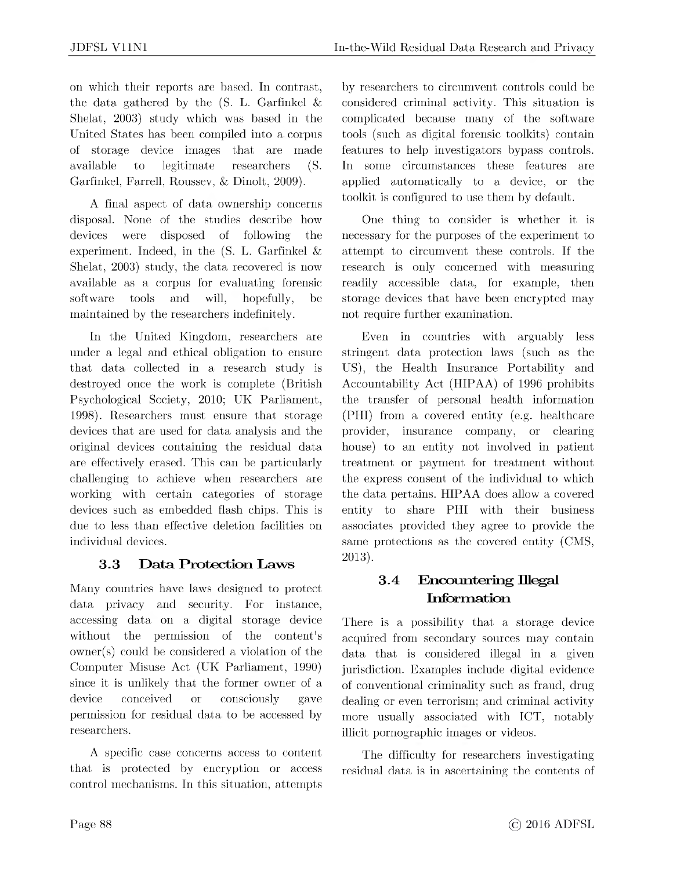on which their reports are based. In contrast, the data gathered by the  $(S. L. Garfinkel &$ Shelat, 2003) study which was based in the United States has been compiled into a corpus of storage device images that are made available to legitimate researchers (S. Garfinkel, Farrell, Roussev, & Dinolt, 2009).

A final aspect of data ownership concerns disposal. None of the studies describe how devices were disposed of following the experiment. Indeed, in the  $(S, L, G\text{arfinkel } \& )$ Shelat, 2003) study, the data recovered is now available as a corpus for evaluating forensic software tools and will, hopefully, be maintained by the researchers indefinitely.

In the United Kingdom, researchers are under a legal and ethical obligation to ensure that data collected in a research study is destroyed once the work is complete (British Psychological Society, 2010; UK Parliament, 1998). Researchers must ensure that storage devices that are used for data analysis and the original devices containing the residual data are effectively erased. This can be particularly challenging to achieve when researchers are working with certain categories of storage devices such as embedded flash chips. This is due to less than effective deletion facilities on individual devices.

### **3.3 Data Protection Laws**

Many countries have laws designed to protect data privacy and security. For instance, accessing data on a digital storage device without the permission of the content's owner(s) could be considered a violation of the Computer Misuse Act (UK Parliament, 1990) since it is unlikely that the former owner of a device conceived or consciously gave permission for residual data to be accessed by researchers.

A specific case concerns access to content that is protected by encryption or access control mechanisms. In this situation, attempts

by researchers to circumvent controls could be considered criminal activity. This situation is complicated because many of the software tools (such as digital forensic toolkits) contain features to help investigators bypass controls. In some circumstances these features are applied automatically to a device, or the toolkit is configured to use them by default.

One thing to consider is whether it is necessary for the purposes of the experiment to attempt to circumvent these controls. If the research is only concerned with measuring readily accessible data, for example, then storage devices that have been encrypted may not require further examination.

Even in countries with arguably less stringent data protection laws (such as the US), the Health Insurance Portability and Accountability Act (HIPAA) of 1996 prohibits the transfer of personal health information (PHI) from a covered entity (e.g. healthcare provider, insurance company, or clearing house) to an entity not involved in patient treatment or payment for treatment without the express consent of the individual to which the data pertains. HIPAA does allow a covered entity to share PHI with their business associates provided they agree to provide the same protections as the covered entity (CMS, 2013).

### **3.4 Encountering Illegal Information**

There is a possibility that a storage device acquired from secondary sources may contain data that is considered illegal in a given jurisdiction. Examples include digital evidence of conventional criminality such as fraud, drug dealing or even terrorism; and criminal activity more usually associated with ICT, notably illicit pornographic images or videos.

The difficulty for researchers investigating residual data is in ascertaining the contents of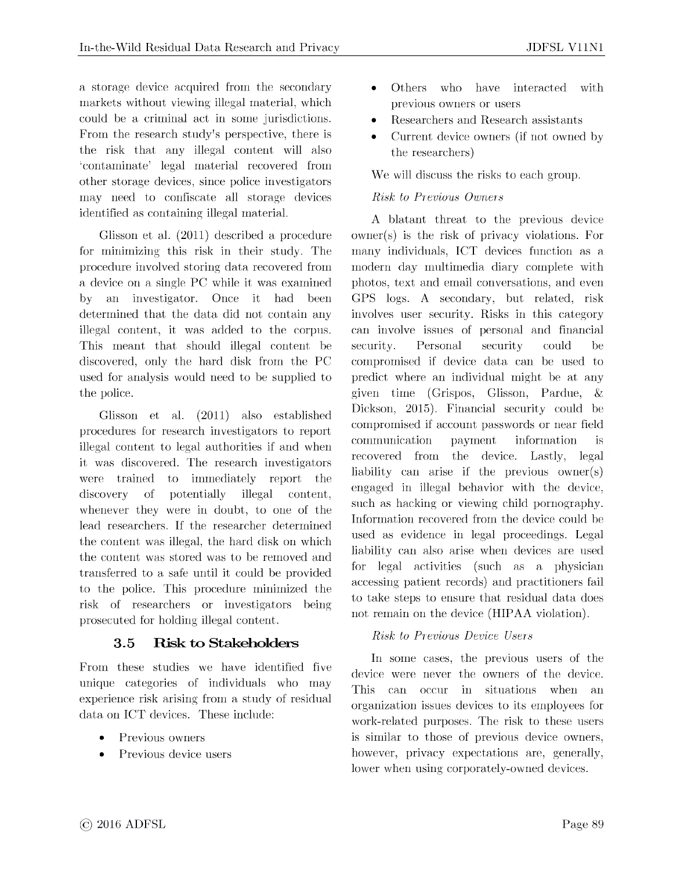a storage device acquired from the secondary markets without viewing illegal material, which could be a criminal act in some jurisdictions. From the research study's perspective, there is the risk that any illegal content will also 'contaminate' legal material recovered from other storage devices, since police investigators may need to confiscate all storage devices identified as containing illegal material.

Glisson et al. (2011) described a procedure for minimizing this risk in their study. The procedure involved storing data recovered from a device on a single PC while it was examined by an investigator. Once it had been determined that the data did not contain any illegal content, it was added to the corpus. This meant that should illegal content be discovered, only the hard disk from the PC used for analysis would need to be supplied to the police.

Glisson et al. (2011) also established procedures for research investigators to report illegal content to legal authorities if and when it was discovered. The research investigators were trained to immediately report the discovery of potentially illegal content, whenever they were in doubt, to one of the lead researchers. If the researcher determined the content was illegal, the hard disk on which the content was stored was to be removed and transferred to a safe until it could be provided to the police. This procedure minimized the risk of researchers or investigators being prosecuted for holding illegal content.

#### **3.5 Risk to Stakeholders**

From these studies we have identified five unique categories of individuals who may experience risk arising from a study of residual data on ICT devices. These include:

- Previous owners
- Previous device users
- Others who have interacted with previous owners or users
- Researchers and Research assistants
- Current device owners (if not owned by the researchers)

We will discuss the risks to each group.

#### *Risk to Previous Owners*

A blatant threat to the previous device owner(s) is the risk of privacy violations. For many individuals, ICT devices function as a modern day multimedia diary complete with photos, text and email conversations, and even GPS logs. A secondary, but related, risk involves user security. Risks in this category can involve issues of personal and financial security. Personal security could be compromised if device data can be used to predict where an individual might be at any given time (Grispos, Glisson, Pardue, & Dickson, 2015). Financial security could be compromised if account passwords or near field communication payment information is recovered from the device. Lastly, legal liability can arise if the previous owner(s) engaged in illegal behavior with the device, such as hacking or viewing child pornography. Information recovered from the device could be used as evidence in legal proceedings. Legal liability can also arise when devices are used for legal activities (such as a physician accessing patient records) and practitioners fail to take steps to ensure that residual data does not remain on the device (HIPAA violation).

#### *Risk to Previous Device Users*

In some cases, the previous users of the device were never the owners of the device. This can occur in situations when an organization issues devices to its employees for work-related purposes. The risk to these users is similar to those of previous device owners, however, privacy expectations are, generally, lower when using corporately-owned devices.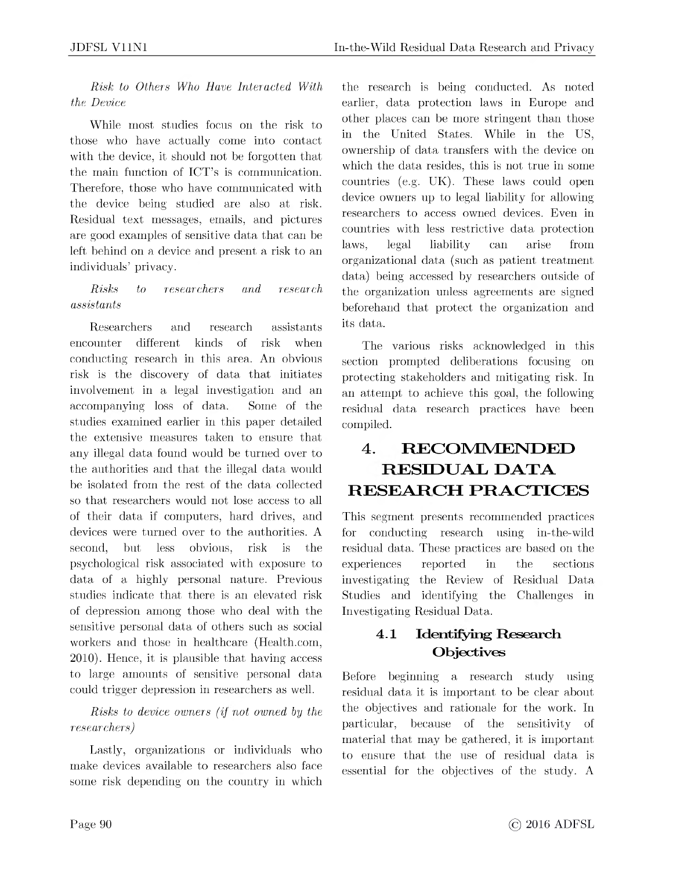*Risk to Others Who Have Interacted With the Device*

While most studies focus on the risk to those who have actually come into contact with the device, it should not be forgotten that the main function of ICT's is communication. Therefore, those who have communicated with the device being studied are also at risk. Residual text messages, emails, and pictures are good examples of sensitive data that can be left behind on a device and present a risk to an individuals' privacy.

#### *Risks to researchers and research assistants*

Researchers and research assistants encounter different kinds of risk when conducting research in this area. An obvious risk is the discovery of data that initiates involvement in a legal investigation and an accompanying loss of data. Some of the studies examined earlier in this paper detailed the extensive measures taken to ensure that any illegal data found would be turned over to the authorities and that the illegal data would be isolated from the rest of the data collected so that researchers would not lose access to all of their data if computers, hard drives, and devices were turned over to the authorities. A second, but less obvious, risk is the psychological risk associated with exposure to data of a highly personal nature. Previous studies indicate that there is an elevated risk of depression among those who deal with the sensitive personal data of others such as social workers and those in healthcare (<Health.com>, 2010). Hence, it is plausible that having access to large amounts of sensitive personal data could trigger depression in researchers as well.

### *Risks to device owners (if not owned by the researchers)*

Lastly, organizations or individuals who make devices available to researchers also face some risk depending on the country in which

the research is being conducted. As noted earlier, data protection laws in Europe and other places can be more stringent than those in the United States. While in the US, ownership of data transfers with the device on which the data resides, this is not true in some countries (e.g. UK). These laws could open device owners up to legal liability for allowing researchers to access owned devices. Even in countries with less restrictive data protection laws, legal liability can arise from organizational data (such as patient treatment data) being accessed by researchers outside of the organization unless agreements are signed beforehand that protect the organization and its data.

The various risks acknowledged in this section prompted deliberations focusing on protecting stakeholders and mitigating risk. In an attempt to achieve this goal, the following residual data research practices have been compiled.

## **4. RECOMMENDED RESIDUAL DATA RESEARCH PRACTICES**

This segment presents recommended practices for conducting research using in-the-wild residual data. These practices are based on the experiences reported in the sections investigating the Review of Residual Data Studies and identifying the Challenges in Investigating Residual Data.

### **4.1 Identifying Research Objectives**

Before beginning a research study using residual data it is important to be clear about the objectives and rationale for the work. In particular, because of the sensitivity of material that may be gathered, it is important to ensure that the use of residual data is essential for the objectives of the study. A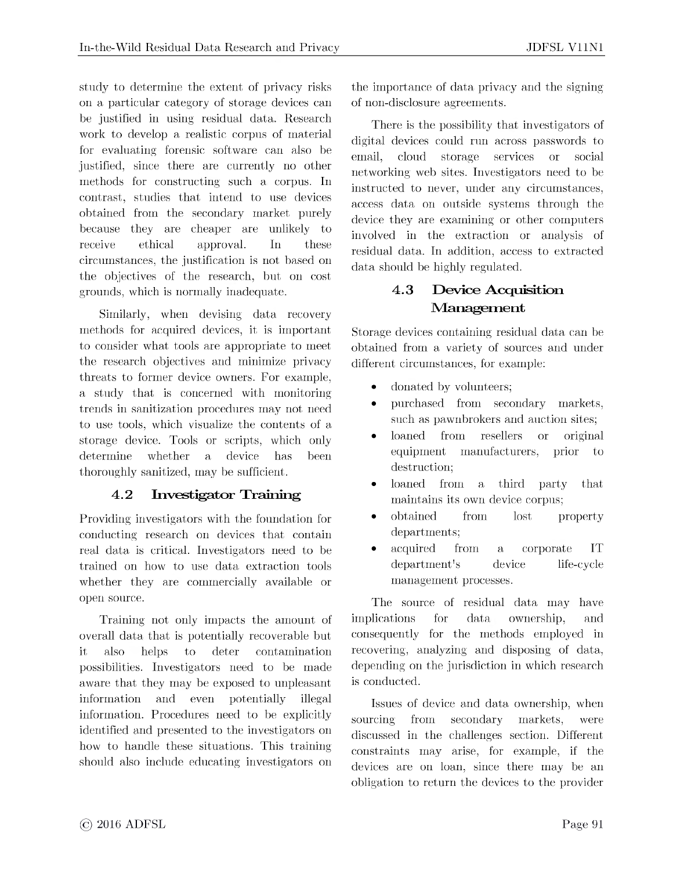study to determine the extent of privacy risks on a particular category of storage devices can be justified in using residual data. Research work to develop a realistic corpus of material for evaluating forensic software can also be justified, since there are currently no other methods for constructing such a corpus. In contrast, studies that intend to use devices obtained from the secondary market purely because they are cheaper are unlikely to receive ethical approval. In these circumstances, the justification is not based on the objectives of the research, but on cost grounds, which is normally inadequate.

Similarly, when devising data recovery methods for acquired devices, it is important to consider what tools are appropriate to meet the research objectives and minimize privacy threats to former device owners. For example, a study that is concerned with monitoring trends in sanitization procedures may not need to use tools, which visualize the contents of a storage device. Tools or scripts, which only determine whether a device has been thoroughly sanitized, may be sufficient.

#### **4.2 Investigator Training**

Providing investigators with the foundation for conducting research on devices that contain real data is critical. Investigators need to be trained on how to use data extraction tools whether they are commercially available or open source.

Training not only impacts the amount of overall data that is potentially recoverable but it also helps to deter contamination possibilities. Investigators need to be made aware that they may be exposed to unpleasant information and even potentially illegal information. Procedures need to be explicitly identified and presented to the investigators on how to handle these situations. This training should also include educating investigators on the importance of data privacy and the signing of non-disclosure agreements.

There is the possibility that investigators of digital devices could run across passwords to email, cloud storage services or social networking web sites. Investigators need to be instructed to never, under any circumstances, access data on outside systems through the device they are examining or other computers involved in the extraction or analysis of residual data. In addition, access to extracted data should be highly regulated.

### **4.3 Device Acquisition Management**

Storage devices containing residual data can be obtained from a variety of sources and under different circumstances, for example:

- donated by volunteers;
- purchased from secondary markets, such as pawnbrokers and auction sites;
- loaned from resellers or original equipment manufacturers, prior to destruction;
- loaned from a third party that maintains its own device corpus;
- obtained from lost property departments;
- acquired from a corporate IT department's device life-cycle management processes.

The source of residual data may have implications for data ownership, and consequently for the methods employed in recovering, analyzing and disposing of data, depending on the jurisdiction in which research is conducted.

Issues of device and data ownership, when sourcing from secondary markets, were discussed in the challenges section. Different constraints may arise, for example, if the devices are on loan, since there may be an obligation to return the devices to the provider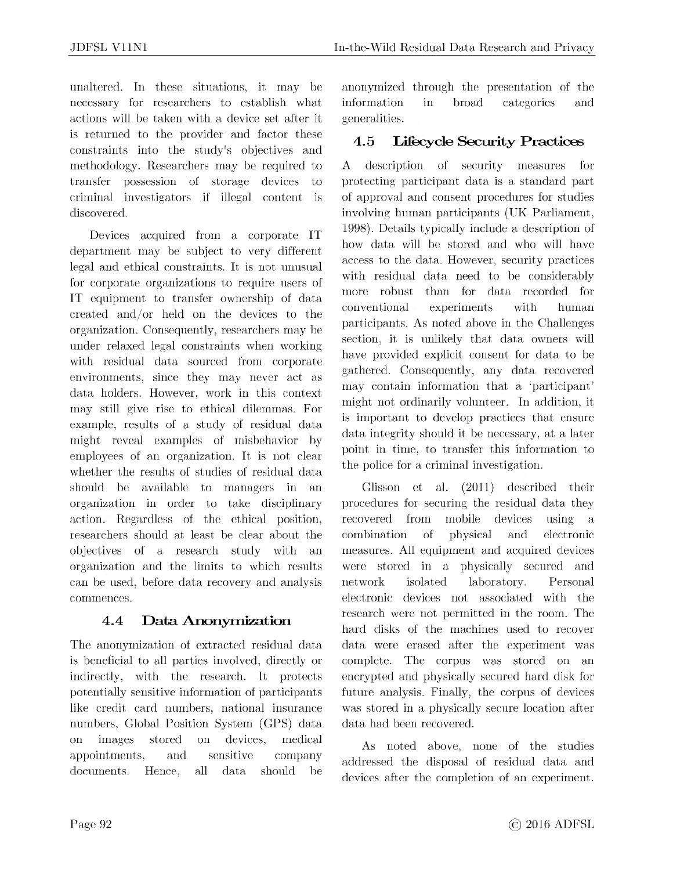unaltered. In these situations, it may be necessary for researchers to establish what actions will be taken with a device set after it is returned to the provider and factor these constraints into the study's objectives and methodology. Researchers may be required to transfer possession of storage devices to criminal investigators if illegal content is discovered.

Devices acquired from a corporate IT department may be subject to very different legal and ethical constraints. It is not unusual for corporate organizations to require users of IT equipment to transfer ownership of data created and/or held on the devices to the organization. Consequently, researchers may be under relaxed legal constraints when working with residual data sourced from corporate environments, since they may never act as data holders. However, work in this context may still give rise to ethical dilemmas. For example, results of a study of residual data might reveal examples of misbehavior by employees of an organization. It is not clear whether the results of studies of residual data should be available to managers in an organization in order to take disciplinary action. Regardless of the ethical position, researchers should at least be clear about the objectives of a research study with an organization and the limits to which results can be used, before data recovery and analysis commences.

### **4.4 Data Anonymization**

The anonymization of extracted residual data is beneficial to all parties involved, directly or indirectly, with the research. It protects potentially sensitive information of participants like credit card numbers, national insurance numbers, Global Position System (GPS) data on images stored on devices, medical appointments, and sensitive company documents. Hence, all data should be

anonymized through the presentation of the information in broad categories and generalities.

### **4.5 Lifecycle Security Practices**

A description of security measures for protecting participant data is a standard part of approval and consent procedures for studies involving human participants (UK Parliament, 1998). Details typically include a description of how data will be stored and who will have access to the data. However, security practices with residual data need to be considerably more robust than for data recorded for conventional experiments with human participants. As noted above in the Challenges section, it is unlikely that data owners will have provided explicit consent for data to be gathered. Consequently, any data recovered may contain information that a 'participant' might not ordinarily volunteer. In addition, it is important to develop practices that ensure data integrity should it be necessary, at a later point in time, to transfer this information to the police for a criminal investigation.

Glisson et al. (2011) described their procedures for securing the residual data they recovered from mobile devices using a combination of physical and electronic measures. All equipment and acquired devices were stored in a physically secured and network isolated laboratory. Personal electronic devices not associated with the research were not permitted in the room. The hard disks of the machines used to recover data were erased after the experiment was complete. The corpus was stored on an encrypted and physically secured hard disk for future analysis. Finally, the corpus of devices was stored in a physically secure location after data had been recovered.

As noted above, none of the studies addressed the disposal of residual data and devices after the completion of an experiment.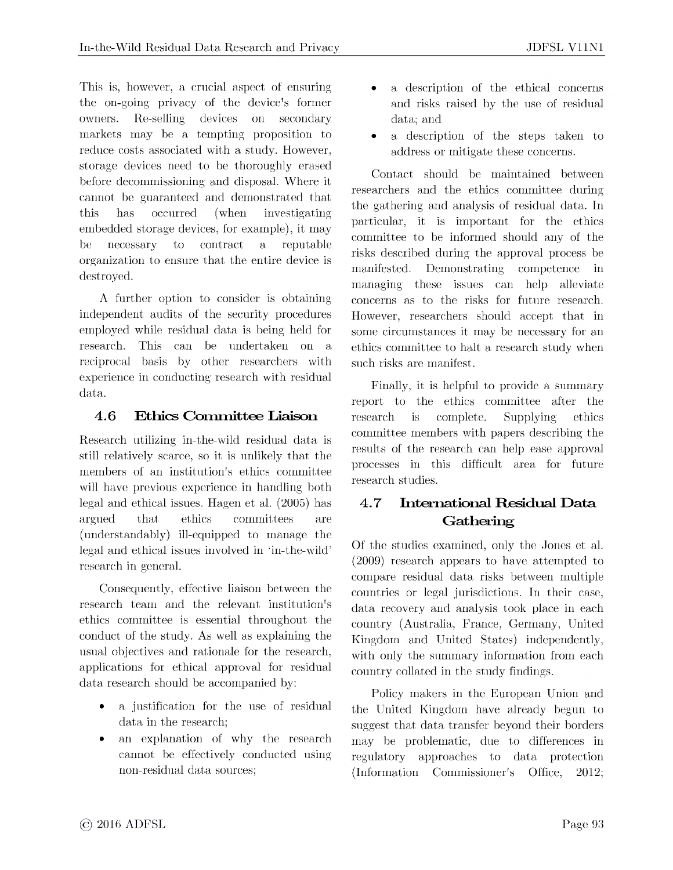This is, however, a crucial aspect of ensuring the on-going privacy of the device's former owners. Re-selling devices on secondary markets may be a tempting proposition to reduce costs associated with a study. However, storage devices need to be thoroughly erased before decommissioning and disposal. Where it cannot be guaranteed and demonstrated that this has occurred (when investigating embedded storage devices, for example), it may be necessary to contract a reputable organization to ensure that the entire device is

A further option to consider is obtaining independent audits of the security procedures employed while residual data is being held for research. This can be undertaken on a reciprocal basis by other researchers with experience in conducting research with residual data.

destroyed.

### **4.6 Ethics Committee Liaison**

Research utilizing in-the-wild residual data is still relatively scarce, so it is unlikely that the members of an institution's ethics committee will have previous experience in handling both legal and ethical issues. Hagen et al. (2005) has argued that ethics committees are (understandably) ill-equipped to manage the legal and ethical issues involved in 'in-the-wild' research in general.

Consequently, effective liaison between the research team and the relevant institution's ethics committee is essential throughout the conduct of the study. As well as explaining the usual objectives and rationale for the research, applications for ethical approval for residual data research should be accompanied by:

- a justification for the use of residual data in the research;
- an explanation of why the research cannot be effectively conducted using non-residual data sources;
- a description of the ethical concerns and risks raised by the use of residual data; and
- a description of the steps taken to address or mitigate these concerns.

Contact should be maintained between researchers and the ethics committee during the gathering and analysis of residual data. In particular, it is important for the ethics committee to be informed should any of the risks described during the approval process be manifested. Demonstrating competence in managing these issues can help alleviate concerns as to the risks for future research. However, researchers should accept that in some circumstances it may be necessary for an ethics committee to halt a research study when such risks are manifest.

Finally, it is helpful to provide a summary report to the ethics committee after the research is complete. Supplying ethics committee members with papers describing the results of the research can help ease approval processes in this difficult area for future research studies.

### **4.7 International Residual Data Gathering**

Of the studies examined, only the Jones et al. (2009) research appears to have attempted to compare residual data risks between multiple countries or legal jurisdictions. In their case, data recovery and analysis took place in each country (Australia, France, Germany, United Kingdom and United States) independently, with only the summary information from each country collated in the study findings.

Policy makers in the European Union and the United Kingdom have already begun to suggest that data transfer beyond their borders may be problematic, due to differences in regulatory approaches to data protection (Information Commissioner's Office, 2012;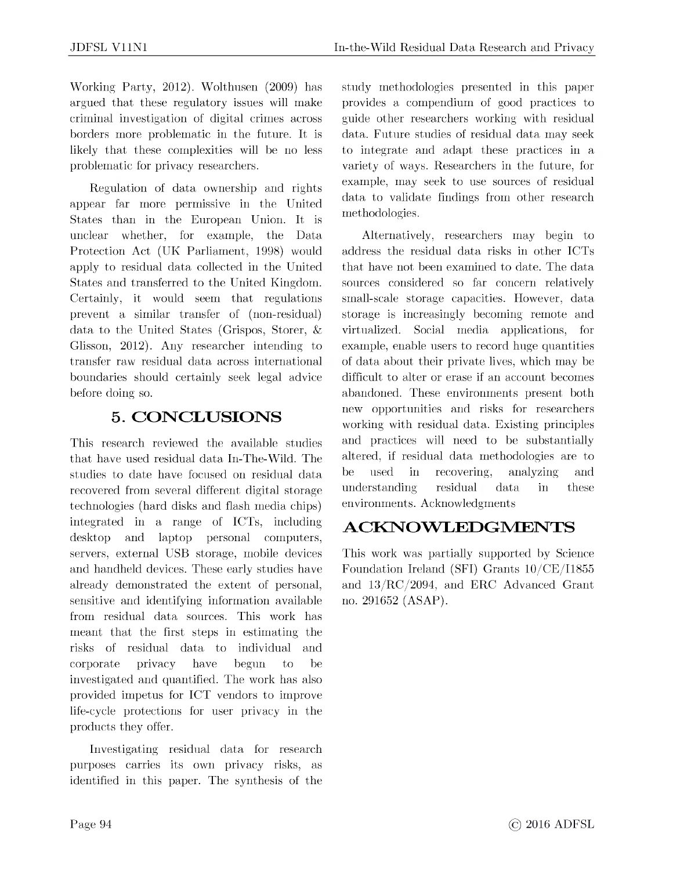Working Party, 2012). Wolthusen (2009) has argued that these regulatory issues will make criminal investigation of digital crimes across borders more problematic in the future. It is likely that these complexities will be no less problematic for privacy researchers.

Regulation of data ownership and rights appear far more permissive in the United States than in the European Union. It is unclear whether, for example, the Data Protection Act (UK Parliament, 1998) would apply to residual data collected in the United States and transferred to the United Kingdom. Certainly, it would seem that regulations prevent a similar transfer of (non-residual) data to the United States (Grispos, Storer, & Glisson, 2012). Any researcher intending to transfer raw residual data across international boundaries should certainly seek legal advice before doing so.

### **5. CONCLUSIONS**

This research reviewed the available studies that have used residual data In-The-Wild. The studies to date have focused on residual data recovered from several different digital storage technologies (hard disks and flash media chips) integrated in a range of ICTs, including desktop and laptop personal computers, servers, external USB storage, mobile devices and handheld devices. These early studies have already demonstrated the extent of personal, sensitive and identifying information available from residual data sources. This work has meant that the first steps in estimating the risks of residual data to individual and corporate privacy have begun to be investigated and quantified. The work has also provided impetus for ICT vendors to improve life-cycle protections for user privacy in the products they offer.

Investigating residual data for research purposes carries its own privacy risks, as identified in this paper. The synthesis of the study methodologies presented in this paper provides a compendium of good practices to guide other researchers working with residual data. Future studies of residual data may seek to integrate and adapt these practices in a variety of ways. Researchers in the future, for example, may seek to use sources of residual data to validate findings from other research methodologies.

Alternatively, researchers may begin to address the residual data risks in other ICTs that have not been examined to date. The data sources considered so far concern relatively small-scale storage capacities. However, data storage is increasingly becoming remote and virtualized. Social media applications, for example, enable users to record huge quantities of data about their private lives, which may be difficult to alter or erase if an account becomes abandoned. These environments present both new opportunities and risks for researchers working with residual data. Existing principles and practices will need to be substantially altered, if residual data methodologies are to be used in recovering, analyzing and understanding residual data in these environments. Acknowledgments

### **ACKNOWLEDGMENTS**

This work was partially supported by Science Foundation Ireland (SFI) Grants 10/CE/I1855 and 13/RC/2094, and ERC Advanced Grant no. 291652 (ASAP).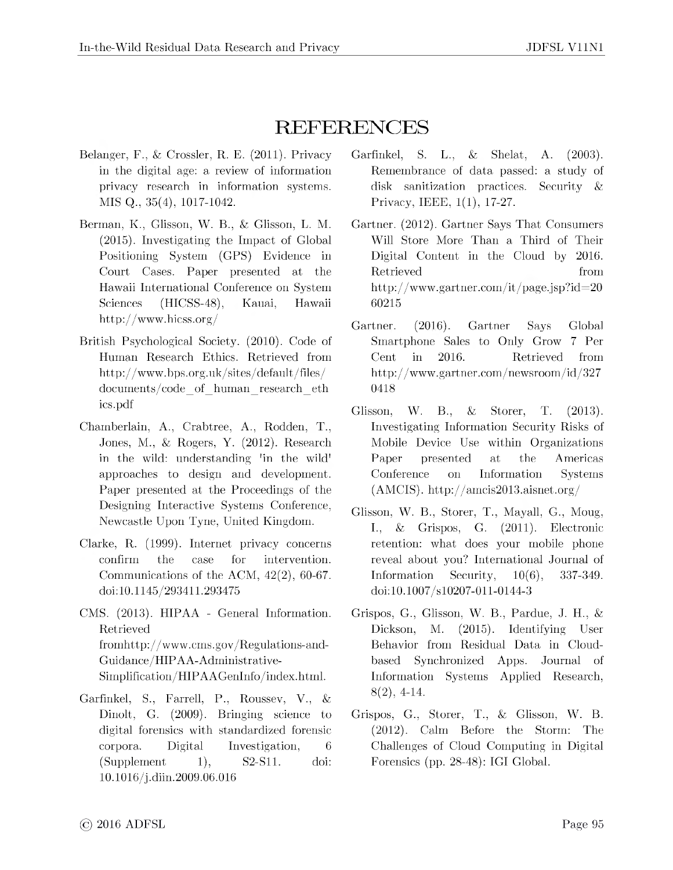# REFERENCES

- Belanger, F., & Crossler, R. E. (2011). Privacy in the digital age: a review of information privacy research in information systems. MIS Q., 35(4), 1017-1042.
- Berman, K., Glisson, W. B., & Glisson, L. M. (2015). Investigating the Impact of Global Positioning System (GPS) Evidence in Court Cases. Paper presented at the Hawaii International Conference on System Sciences (HICSS-48), Kauai, Hawaii <http://www.hicss.org/>
- British Psychological Society. (2010). Code of Human Research Ethics. Retrieved from <http://www.bps.org.uk/sites/default/files/> documents/code\_of\_human\_research\_eth ics.pdf
- Chamberlain, A., Crabtree, A., Rodden, T., Jones, M., & Rogers, Y. (2012). Research in the wild: understanding 'in the wild' approaches to design and development. Paper presented at the Proceedings of the Designing Interactive Systems Conference, Newcastle Upon Tyne, United Kingdom.
- Clarke, R. (1999). Internet privacy concerns confirm the case for intervention. Communications of the ACM, 42(2), 60-67. doi:10.1145/293411.293475
- CMS. (2013). HIPAA General Information. Retrieved [fromhttp://www.cms.gov/Regulations-and-](fromhttp://www.cms.gov/Regulations-and-Guidance/HIPAA-Administrative-)Guidance/HIPAA-Administrative-Simplification/HIPAAGenInfo/index.html.
- Garfinkel, S., Farrell, P., Roussev, V., & Dinolt, G. (2009). Bringing science to digital forensics with standardized forensic corpora. Digital Investigation, 6  $(Supplement 1), S2-S11.$ doi: 10.1016/j.diin.2009.06.016
- Garfinkel, S. L., & Shelat, A. (2003). Remembrance of data passed: a study of disk sanitization practices. Security & Privacy, IEEE, 1(1), 17-27.
- Gartner. (2012). Gartner Says That Consumers Will Store More Than a Third of Their Digital Content in the Cloud by 2016. Retrieved from <http://www.gartner.com/it/page.jsp?id=20> 60215
- Gartner. (2016). Gartner Says Global Smartphone Sales to Only Grow 7 Per Cent in 2016. Retrieved from <http://www.gartner.com/newsroom/id/327> 0418
- Glisson, W. B., & Storer, T. (2013). Investigating Information Security Risks of Mobile Device Use within Organizations Paper presented at the Americas Conference on Information Systems (AMCIS). <http://amcis2013.aisnet.org/>
- Glisson, W. B., Storer, T., Mayall, G., Moug, I., & Grispos, G. (2011). Electronic retention: what does your mobile phone reveal about you? International Journal of Information Security, 10(6), 337-349. doi:10.1007/s10207-011-0144-3
- Grispos, G., Glisson, W. B., Pardue, J. H., & Dickson, M. (2015). Identifying User Behavior from Residual Data in Cloudbased Synchronized Apps. Journal of Information Systems Applied Research, 8(2), 4-14.
- Grispos, G., Storer, T., & Glisson, W. B. (2012). Calm Before the Storm: The Challenges of Cloud Computing in Digital Forensics (pp. 28-48): IGI Global.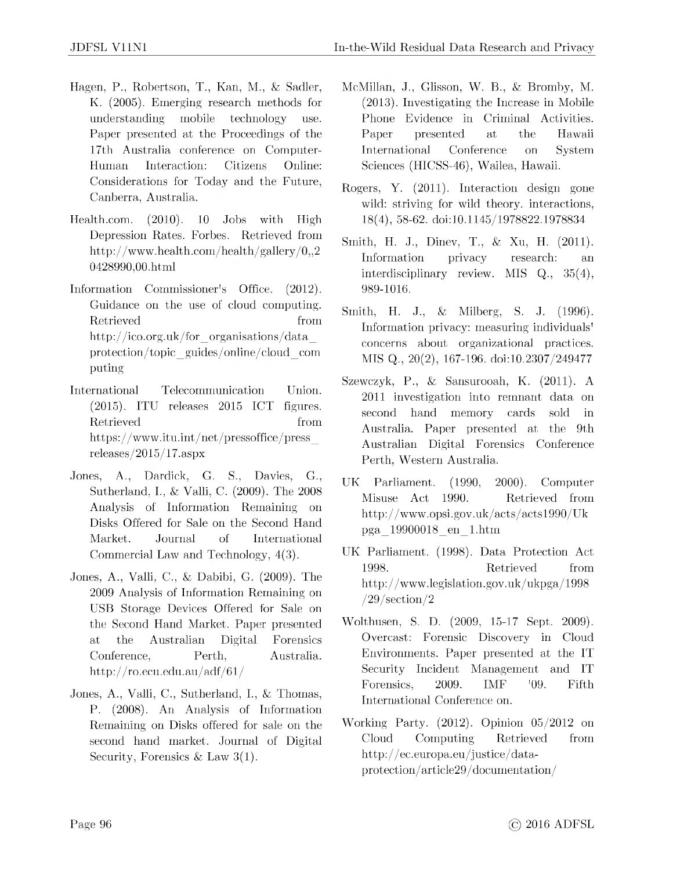- Hagen, P., Robertson, T., Kan, M., & Sadler, K. (2005). Emerging research methods for understanding mobile technology use. Paper presented at the Proceedings of the 17th Australia conference on Computer-Human Interaction: Citizens Online: Considerations for Today and the Future, Canberra, Australia.
- <Health.com>. (2010). 10 Jobs with High Depression Rates. Forbes. Retrieved from <http://www.health.com/health/gallery/0,,2> 0428990,00.html
- Information Commissioner's Office. (2012). Guidance on the use of cloud computing. Retrieved from [http://ico.org.uk/for\\_organisations/data\\_](http://ico.org.uk/for_organisations/data_) protection/topic\_guides/online/cloud\_com puting
- International Telecommunication Union. (2015). ITU releases 2015 ICT figures. Retrieved from  $\mathbb{R}$  from  $\mathbb{R}$ [https://www.itu.int/net/pressoffice/press\\_](https://www.itu.int/net/pressoffice/press_) releases/2015/17.aspx
- Jones, A., Dardick, G. S., Davies, G., Sutherland, I., & Valli, C. (2009). The 2008 Analysis of Information Remaining on Disks Offered for Sale on the Second Hand Market. Journal of International Commercial Law and Technology, 4(3).
- Jones, A., Valli, C., & Dabibi, G. (2009). The 2009 Analysis of Information Remaining on USB Storage Devices Offered for Sale on the Second Hand Market. Paper presented at the Australian Digital Forensics Conference, Perth, Australia. <http://ro.ecu.edu.au/adf/61/>
- Jones, A., Valli, C., Sutherland, I., & Thomas, P. (2008). An Analysis of Information Remaining on Disks offered for sale on the second hand market. Journal of Digital Security, Forensics & Law  $3(1)$ .
- McMillan, J., Glisson, W. B., & Bromby, M. (2013). Investigating the Increase in Mobile Phone Evidence in Criminal Activities. Paper presented at the Hawaii International Conference on System Sciences (HICSS-46), Wailea, Hawaii.
- Rogers, Y. (2011). Interaction design gone wild: striving for wild theory. interactions, 18(4), 58-62. doi:10.1145/1978822.1978834
- Smith, H. J., Dinev, T., & Xu, H. (2011). Information privacy research: an interdisciplinary review. MIS Q., 35(4), 989-1016.
- Smith, H. J., & Milberg, S. J. (1996). Information privacy: measuring individuals' concerns about organizational practices. MIS Q., 20(2), 167-196. doi:10.2307/249477
- Szewczyk, P., & Sansurooah, K. (2011). A 2011 investigation into remnant data on second hand memory cards sold in Australia. Paper presented at the 9th Australian Digital Forensics Conference Perth, Western Australia.
- UK Parliament. (1990, 2000). Computer Misuse Act 1990. Retrieved from <http://www.opsi.gov.uk/acts/acts1990/Uk> pga\_19900018\_en\_1.htm
- UK Parliament. (1998). Data Protection Act 1998. Retrieved from <http://www.legislation.gov.uk/ukpga/1998> /29/section/2
- Wolthusen, S. D. (2009, 15-17 Sept. 2009). Overcast: Forensic Discovery in Cloud Environments. Paper presented at the IT Security Incident Management and IT Forensics, 2009. IMF '09. Fifth International Conference on.
- Working Party. (2012). Opinion 05/2012 on Cloud Computing Retrieved from http://ec.europa.eu/justice/data[protection/article29/documentation/](http://ec.europa.eu/justice/data-protection/article29/documentation/)